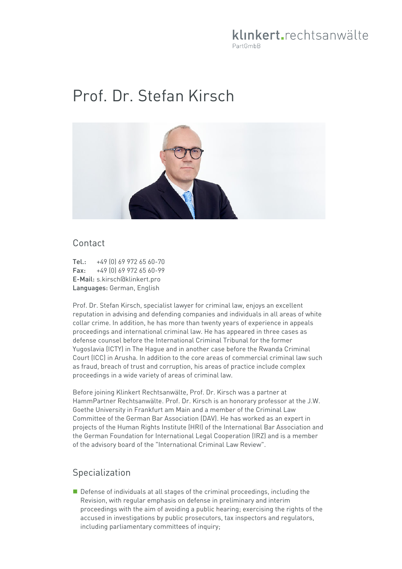# klinkert.rechtsanwälte PartGmbB

# Prof. Dr. Stefan Kirsch



#### Contact

Tel.: +49 (0) 69 972 65 60-70 Fax: +49 (0) 69 972 65 60-99 E-Mail: s.kirsch@klinkert.pro Languages: German, English

Prof. Dr. Stefan Kirsch, specialist lawyer for criminal law, enjoys an excellent reputation in advising and defending companies and individuals in all areas of white collar crime. In addition, he has more than twenty years of experience in appeals proceedings and international criminal law. He has appeared in three cases as defense counsel before the International Criminal Tribunal for the former Yugoslavia (ICTY) in The Hague and in another case before the Rwanda Criminal Court (ICC) in Arusha. In addition to the core areas of commercial criminal law such as fraud, breach of trust and corruption, his areas of practice include complex proceedings in a wide variety of areas of criminal law.

Before joining Klinkert Rechtsanwälte, Prof. Dr. Kirsch was a partner at HammPartner Rechtsanwälte. Prof. Dr. Kirsch is an honorary professor at the J.W. Goethe University in Frankfurt am Main and a member of the Criminal Law Committee of the German Bar Association (DAV). He has worked as an expert in projects of the Human Rights Institute (HRI) of the International Bar Association and the German Foundation for International Legal Cooperation (IRZ) and is a member of the advisory board of the "International Criminal Law Review".

## Specialization

Defense of individuals at all stages of the criminal proceedings, including the Revision, with regular emphasis on defense in preliminary and interim proceedings with the aim of avoiding a public hearing; exercising the rights of the accused in investigations by public prosecutors, tax inspectors and regulators, including parliamentary committees of inquiry;